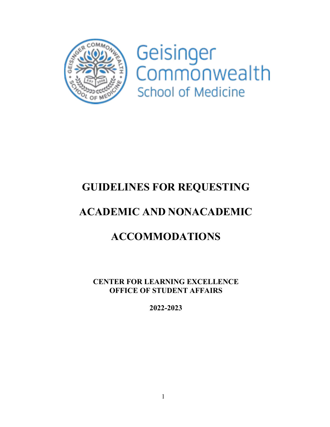

Geisinger<br>Commonwealth School of Medicine

# **GUIDELINES FOR REQUESTING**

# **ACADEMIC AND NONACADEMIC**

# **ACCOMMODATIONS**

**CENTER FOR LEARNING EXCELLENCE OFFICE OF STUDENT AFFAIRS**

**2022-2023**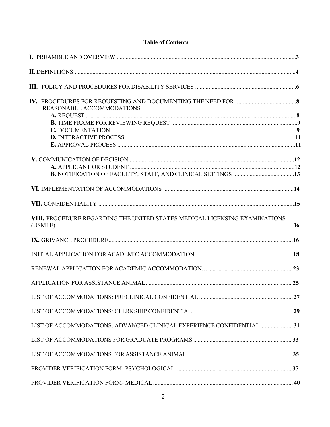# **Table of Contents**

| REASONABLE ACCOMMODATIONS                                                  |  |
|----------------------------------------------------------------------------|--|
|                                                                            |  |
|                                                                            |  |
|                                                                            |  |
|                                                                            |  |
|                                                                            |  |
|                                                                            |  |
|                                                                            |  |
|                                                                            |  |
|                                                                            |  |
| VIII. PROCEDURE REGARDING THE UNITED STATES MEDICAL LICENSING EXAMINATIONS |  |
|                                                                            |  |
|                                                                            |  |
|                                                                            |  |
|                                                                            |  |
|                                                                            |  |
|                                                                            |  |
| LIST OF ACCOMMODATIONS: ADVANCED CLINICAL EXPERIENCE CONFIDENTIAL  31      |  |
|                                                                            |  |
|                                                                            |  |
|                                                                            |  |
|                                                                            |  |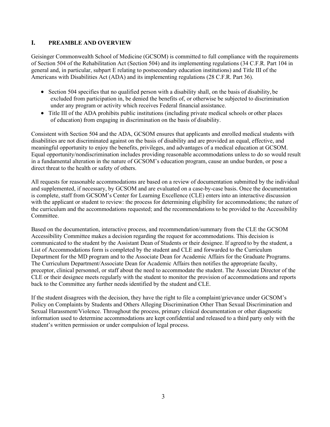## <span id="page-2-0"></span>**I. PREAMBLE AND OVERVIEW**

Geisinger Commonwealth School of Medicine (GCSOM) is committed to full compliance with the requirements of Section 504 of the Rehabilitation Act (Section 504) and its implementing regulations (34 C.F.R. Part 104 in general and, in particular, subpart E relating to postsecondary education institutions) and Title III of the Americans with Disabilities Act (ADA) and its implementing regulations (28 C.F.R. Part 36).

- Section 504 specifies that no qualified person with a disability shall, on the basis of disability, be excluded from participation in, be denied the benefits of, or otherwise be subjected to discrimination under any program or activity which receives Federal financial assistance.
- Title III of the ADA prohibits public institutions (including private medical schools or other places of education) from engaging in discrimination on the basis of disability.

Consistent with Section 504 and the ADA, GCSOM ensures that applicants and enrolled medical students with disabilities are not discriminated against on the basis of disability and are provided an equal, effective, and meaningful opportunity to enjoy the benefits, privileges, and advantages of a medical education at GCSOM. Equal opportunity/nondiscrimination includes providing reasonable accommodations unless to do so would result in a fundamental alteration in the nature of GCSOM's education program, cause an undue burden, or pose a direct threat to the health or safety of others.

All requests for reasonable accommodations are based on a review of documentation submitted by the individual and supplemented, if necessary, by GCSOM and are evaluated on a case-by-case basis. Once the documentation is complete, staff from GCSOM's Center for Learning Excellence (CLE) enters into an interactive discussion with the applicant or student to review: the process for determining eligibility for accommodations; the nature of the curriculum and the accommodations requested; and the recommendations to be provided to the Accessibility Committee.

Based on the documentation, interactive process, and recommendation/summary from the CLE the GCSOM Accessibility Committee makes a decision regarding the request for accommodations. This decision is communicated to the student by the Assistant Dean of Students or their designee. If agreed to by the student, a List of Accommodations form is completed by the student and CLE and forwarded to the Curriculum Department for the MD program and to the Associate Dean for Academic Affairs for the Graduate Programs. The Curriculum Department/Associate Dean for Academic Affairs then notifies the appropriate faculty, preceptor, clinical personnel, or staff about the need to accommodate the student. The Associate Director of the CLE or their designee meets regularly with the student to monitor the provision of accommodations and reports back to the Committee any further needs identified by the student and CLE.

If the student disagrees with the decision, they have the right to file a complaint/grievance under GCSOM's Policy on Complaints by Students and Others Alleging Discrimination Other Than Sexual Discrimination and Sexual Harassment/Violence. Throughout the process, primary clinical documentation or other diagnostic information used to determine accommodations are kept confidential and released to a third party only with the student's written permission or under compulsion of legal process.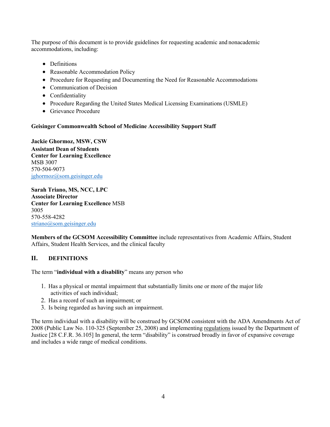The purpose of this document is to provide guidelines for requesting academic and nonacademic accommodations, including:

- Definitions
- Reasonable Accommodation Policy
- Procedure for Requesting and Documenting the Need for Reasonable Accommodations
- Communication of Decision
- Confidentiality
- Procedure Regarding the United States Medical Licensing Examinations (USMLE)
- Grievance Procedure

## **Geisinger Commonwealth School of Medicine Accessibility Support Staff**

**Jackie Ghormoz, MSW, CSW Assistant Dean of Students Center for Learning Excellence** MSB 3007 570-504-9073 [jghormoz@som.geisinger.edu](mailto:jghormoz@som.geisinger.edu)

**Sarah Triano, MS, NCC, LPC Associate Director Center for Learning Excellence** MSB 3005 570-558-4282 [striano@som.geisinger.edu](mailto:striano@som.geisinger.edu)

**Members of the GCSOM Accessibility Committee** include representatives from Academic Affairs, Student Affairs, Student Health Services, and the clinical faculty

# <span id="page-3-0"></span>**II. DEFINITIONS**

The term "**individual with a disability**" means any person who

- 1. Has a physical or mental impairment that substantially limits one or more of the major life activities of such individual;
- 2. Has a record of such an impairment; or
- 3. Is being regarded as having such an impairment.

The term individual with a disability will be construed by GCSOM consistent with the ADA Amendments Act of 2008 (Public Law No. 110-325 (September 25, 2008) and implementin[g regulations](https://www.ada.gov/regs2010/titleIII_2010/titleIII_2010_regulations.htm#a105) issued by the Department of Justice [28 C.F.R. 36.105] In general, the term "disability" is construed broadly in favor of expansive coverage and includes a wide range of medical conditions.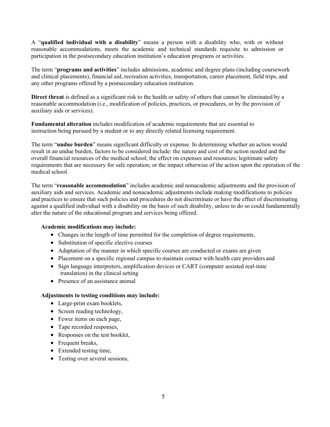A "**qualified individual with a disability**" means a person with a disability who, with or without reasonable accommodations, meets the academic and technical standards requisite to admission or participation in the postsecondary education institution's education programs or activities.

The term "**programs and activities**" includes admissions, academic and degree plans (including coursework and clinical placements), financial aid, recreation activities, transportation, career placement, field trips, and any other programs offered by a postsecondary education institution.

**Direct threat** is defined as a significant risk to the health or safety of others that cannot be eliminated by a reasonable accommodation (i.e., modification of policies, practices, or procedures, or by the provision of auxiliary aids or services).

**Fundamental alteration** includes modification of academic requirements that are essential to instruction being pursued by a student or to any directly related licensing requirement.

The term "**undue burden**" means significant difficulty or expense. In determining whether an action would result in an undue burden, factors to be considered include: the nature and cost of the action needed and the overall financial resources of the medical school; the effect on expenses and resources; legitimate safety requirements that are necessary for safe operation; or the impact otherwise of the action upon the operation of the medical school.

The term "**reasonable accommodation**" includes academic and nonacademic adjustments and the provision of auxiliary aids and services. Academic and nonacademic adjustments include making modifications to policies and practices to ensure that such policies and procedures do not discriminate or have the effect of discriminating against a qualified individual with a disability on the basis of such disability, unless to do so could fundamentally alter the nature of the educational program and services being offered.

## **Academic modifications may include:**

- Changes in the length of time permitted for the completion of degree requirements,
- Substitution of specific elective courses
- Adaptation of the manner in which specific courses are conducted or exams are given
- Placement on a specific regional campus to maintain contact with health care providers and
- Sign language interpreters, amplification devices or CART (computer assisted real-time translation) in the clinical setting
- Presence of an assistance animal

## **Adjustments to testing conditions may include:**

- Large-print exam booklets,
- Screen reading technology,
- Fewer items on each page,
- Tape recorded responses,
- Responses on the test booklet,
- Frequent breaks,
- Extended testing time,
- Testing over several sessions,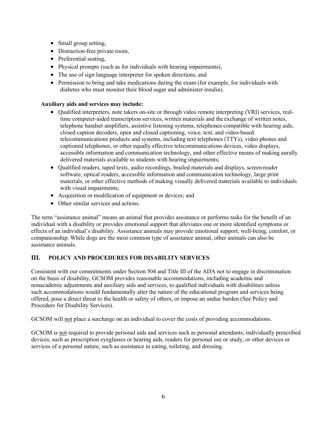- Small group setting,
- Distraction-free private room,
- Preferential seating,
- Physical prompts (such as for individuals with hearing impairments),
- The use of sign language interpreter for spoken directions, and
- Permission to bring and take medications during the exam (for example, for individuals with diabetes who must monitor their blood sugar and administer insulin).

# **Auxiliary aids and services may include:**

- Qualified interpreters, note takers on-site or through video remote interpreting (VRI) services, realtime computer-aided transcription services, written materials and the exchange of written notes, telephone handset amplifiers, assistive listening systems, telephones compatible with hearing aids, closed caption decoders, open and closed captioning, voice, text, and video-based telecommunications products and systems, including text telephones (TTYs), video phones and captioned telephones, or other equally effective telecommunications devices, video displays, accessible information and communication technology, and other effective means of making aurally delivered materials available to students with hearing impairments;
- Qualified readers, taped texts, audio recordings, brailed materials and displays, screen reader software, optical readers, accessible information and communication technology, large print materials, or other effective methods of making visually delivered materials available to individuals with visual impairments;
- Acquisition or modification of equipment or devices; and
- Other similar services and actions.

The term "assistance animal" means an animal that provides assistance or performs tasks for the benefit of an individual with a disability or provides emotional support that alleviates one or more identified symptoms or effects of an individual's disability. Assistance animals may provide emotional support, well-being, comfort, or companionship. While dogs are the most common type of assistance animal, other animals can also be assistance animals.

# <span id="page-5-0"></span>**III. POLICY AND PROCEDURES FOR DISABILITY SERVICES**

Consistent with our commitments under Section 504 and Title III of the ADA not to engage in discrimination on the basis of disability, GCSOM provides reasonable accommodations, including academic and nonacademic adjustments and auxiliary aids and services, to qualified individuals with disabilities unless such accommodations would fundamentally alter the nature of the educational program and services being offered, pose a direct threat to the health or safety of others, or impose an undue burden (See Policy and Procedure for Disability Services).

GCSOM will not place a surcharge on an individual to cover the costs of providing accommodations.

GCSOM is not required to provide personal aids and services such as personal attendants, individually prescribed devices, such as prescription eyeglasses or hearing aids, readers for personal use or study, or other devices or services of a personal nature, such as assistance in eating, toileting, and dressing.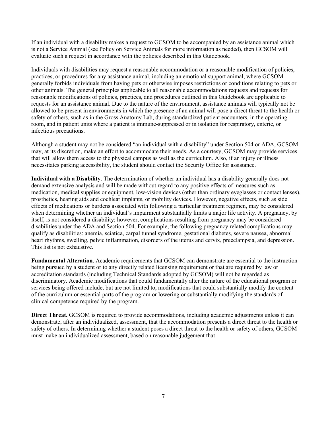If an individual with a disability makes a request to GCSOM to be accompanied by an assistance animal which is not a Service Animal (see Policy on Service Animals for more information as needed), then GCSOM will evaluate such a request in accordance with the policies described in this Guidebook.

Individuals with disabilities may request a reasonable accommodation or a reasonable modification of policies, practices, or procedures for any assistance animal, including an emotional support animal, where GCSOM generally forbids individuals from having pets or otherwise imposes restrictions or conditions relating to pets or other animals. The general principles applicable to all reasonable accommodations requests and requests for reasonable modifications of policies, practices, and procedures outlined in this Guidebook are applicable to requests for an assistance animal. Due to the nature of the environment, assistance animals will typically not be allowed to be present in environments in which the presence of an animal will pose a direct threat to the health or safety of others, such as in the Gross Anatomy Lab, during standardized patient encounters, in the operating room, and in patient units where a patient is immune-suppressed or in isolation for respiratory, enteric, or infectious precautions.

Although a student may not be considered "an individual with a disability" under Section 504 or ADA, GCSOM may, at its discretion, make an effort to accommodate their needs. As a courtesy, GCSOM may provide services that will allow them access to the physical campus as well as the curriculum. Also, if an injury or illness necessitates parking accessibility, the student should contact the Security Office for assistance.

**Individual with a Disability**. The determination of whether an individual has a disability generally does not demand extensive analysis and will be made without regard to any positive effects of measures such as medication, medical supplies or equipment, low-vision devices (other than ordinary eyeglasses or contact lenses), prosthetics, hearing aids and cochlear implants, or mobility devices. However, negative effects, such as side effects of medications or burdens associated with following a particular treatment regimen, may be considered when determining whether an individual's impairment substantially limits a major life activity. A pregnancy, by itself, is not considered a disability; however, complications resulting from pregnancy may be considered disabilities under the ADA and Section 504. For example, the following pregnancy related complications may qualify as disabilities: anemia, sciatica, carpal tunnel syndrome, gestational diabetes, severe nausea, abnormal heart rhythms, swelling, pelvic inflammation, disorders of the uterus and cervix, preeclampsia, and depression. This list is not exhaustive.

**Fundamental Alteration**. Academic requirements that GCSOM can demonstrate are essential to the instruction being pursued by a student or to any directly related licensing requirement or that are required by law or accreditation standards (including Technical Standards adopted by GCSOM) will not be regarded as discriminatory. Academic modifications that could fundamentally alter the nature of the educational program or services being offered include, but are not limited to, modifications that could substantially modify the content of the curriculum or essential parts of the program or lowering or substantially modifying the standards of clinical competence required by the program.

**Direct Threat.** GCSOM is required to provide accommodations, including academic adjustments unless it can demonstrate, after an individualized, assessment, that the accommodation presents a direct threat to the health or safety of others. In determining whether a student poses a direct threat to the health or safety of others, GCSOM must make an individualized assessment, based on reasonable judgement that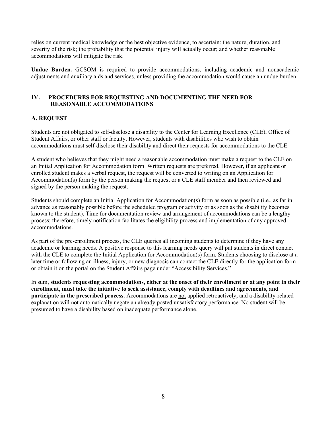relies on current medical knowledge or the best objective evidence, to ascertain: the nature, duration, and severity of the risk; the probability that the potential injury will actually occur; and whether reasonable accommodations will mitigate the risk.

**Undue Burden.** GCSOM is required to provide accommodations, including academic and nonacademic adjustments and auxiliary aids and services, unless providing the accommodation would cause an undue burden.

## **IV. PROCEDURES FOR REQUESTING AND DOCUMENTING THE NEED FOR REASONABLE ACCOMMODATIONS**

## <span id="page-7-0"></span>**A. REQUEST**

Students are not obligated to self-disclose a disability to the Center for Learning Excellence (CLE), Office of Student Affairs, or other staff or faculty. However, students with disabilities who wish to obtain accommodations must self-disclose their disability and direct their requests for accommodations to the CLE.

A student who believes that they might need a reasonable accommodation must make a request to the CLE on an Initial Application for Accommodation form. Written requests are preferred. However, if an applicant or enrolled student makes a verbal request, the request will be converted to writing on an Application for Accommodation(s) form by the person making the request or a CLE staff member and then reviewed and signed by the person making the request.

Students should complete an Initial Application for Accommodation(s) form as soon as possible (i.e., as far in advance as reasonably possible before the scheduled program or activity or as soon as the disability becomes known to the student). Time for documentation review and arrangement of accommodations can be a lengthy process; therefore, timely notification facilitates the eligibility process and implementation of any approved accommodations.

As part of the pre-enrollment process, the CLE queries all incoming students to determine if they have any academic or learning needs. A positive response to this learning needs query will put students in direct contact with the CLE to complete the Initial Application for Accommodation(s) form. Students choosing to disclose at a later time or following an illness, injury, or new diagnosis can contact the CLE directly for the application form or obtain it on the portal on the Student Affairs page under "Accessibility Services."

In sum, **students requesting accommodations, either at the onset of their enrollment or at any point in their enrollment, must take the initiative to seek assistance, comply with deadlines and agreements, and participate in the prescribed process.** Accommodations are not applied retroactively, and a disability-related explanation will not automatically negate an already posted unsatisfactory performance. No student will be presumed to have a disability based on inadequate performance alone.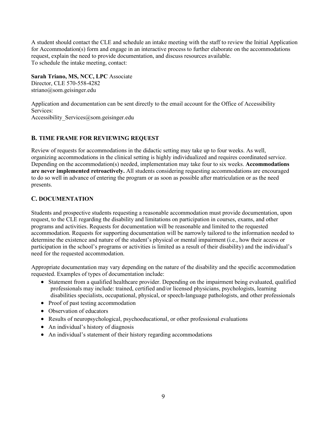A student should contact the CLE and schedule an intake meeting with the staff to review the Initial Application for Accommodation(s) form and engage in an interactive process to further elaborate on the accommodations request, explain the need to provide documentation, and discuss resources available. To schedule the intake meeting, contact:

**Sarah Triano, MS, NCC, LPC** Associate Director, CLE 570-558-4282 [striano@som.geisinger.edu](mailto:striano@som.geisinger.edu)

Application and documentation can be sent directly to the email account for the Office of Accessibility Services: Accessibility Services@som.geisinger.edu

# <span id="page-8-0"></span>**B. TIME FRAME FOR REVIEWING REQUEST**

Review of requests for accommodations in the didactic setting may take up to four weeks. As well, organizing accommodations in the clinical setting is highly individualized and requires coordinated service. Depending on the accommodation(s) needed, implementation may take four to six weeks. **Accommodations are never implemented retroactively.** All students considering requesting accommodations are encouraged to do so well in advance of entering the program or as soon as possible after matriculation or as the need presents.

# <span id="page-8-1"></span>**C. DOCUMENTATION**

Students and prospective students requesting a reasonable accommodation must provide documentation, upon request, to the CLE regarding the disability and limitations on participation in courses, exams, and other programs and activities. Requests for documentation will be reasonable and limited to the requested accommodation. Requests for supporting documentation will be narrowly tailored to the information needed to determine the existence and nature of the student's physical or mental impairment (i.e., how their access or participation in the school's programs or activities is limited as a result of their disability) and the individual's need for the requested accommodation.

Appropriate documentation may vary depending on the nature of the disability and the specific accommodation requested. Examples of types of documentation include:

- Statement from a qualified healthcare provider. Depending on the impairment being evaluated, qualified professionals may include: trained, certified and/or licensed physicians, psychologists, learning disabilities specialists, occupational, physical, or speech-language pathologists, and other professionals
- Proof of past testing accommodation
- Observation of educators
- Results of neuropsychological, psychoeducational, or other professional evaluations
- An individual's history of diagnosis
- An individual's statement of their history regarding accommodations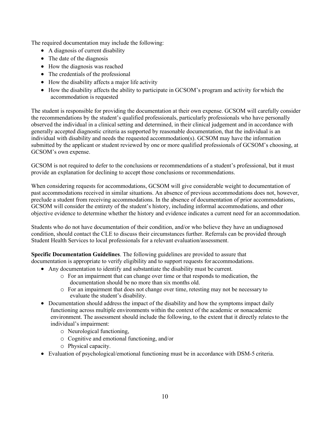The required documentation may include the following:

- A diagnosis of current disability
- The date of the diagnosis
- How the diagnosis was reached
- The credentials of the professional
- How the disability affects a major life activity
- How the disability affects the ability to participate in GCSOM's program and activity for which the accommodation is requested

The student is responsible for providing the documentation at their own expense. GCSOM will carefully consider the recommendations by the student's qualified professionals, particularly professionals who have personally observed the individual in a clinical setting and determined, in their clinical judgement and in accordance with generally accepted diagnostic criteria as supported by reasonable documentation, that the individual is an individual with disability and needs the requested accommodation(s). GCSOM may have the information submitted by the applicant or student reviewed by one or more qualified professionals of GCSOM's choosing, at GCSOM's own expense.

GCSOM is not required to defer to the conclusions or recommendations of a student's professional, but it must provide an explanation for declining to accept those conclusions or recommendations.

When considering requests for accommodations, GCSOM will give considerable weight to documentation of past accommodations received in similar situations. An absence of previous accommodations does not, however, preclude a student from receiving accommodations. In the absence of documentation of prior accommodations, GCSOM will consider the entirety of the student's history, including informal accommodations, and other objective evidence to determine whether the history and evidence indicates a current need for an accommodation.

Students who do not have documentation of their condition, and/or who believe they have an undiagnosed condition, should contact the CLE to discuss their circumstances further. Referrals can be provided through Student Health Services to local professionals for a relevant evaluation/assessment.

**Specific Documentation Guidelines**. The following guidelines are provided to assure that documentation is appropriate to verify eligibility and to support requests for accommodations.

- Any documentation to identify and substantiate the disability must be current.
	- o For an impairment that can change over time or that responds to medication, the documentation should be no more than six months old.
	- o For an impairment that does not change over time, retesting may not be necessary to evaluate the student's disability.
- Documentation should address the impact of the disability and how the symptoms impact daily functioning across multiple environments within the context of the academic or nonacademic environment. The assessment should include the following, to the extent that it directly relatesto the individual's impairment:
	- o Neurological functioning,
	- o Cognitive and emotional functioning, and/or
	- o Physical capacity.
- Evaluation of psychological/emotional functioning must be in accordance with DSM-5 criteria.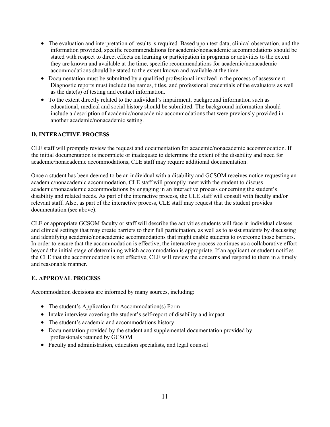- The evaluation and interpretation of results is required. Based upon test data, clinical observation, and the information provided, specific recommendations for academic/nonacademic accommodations should be stated with respect to direct effects on learning or participation in programs or activities to the extent they are known and available at the time, specific recommendations for academic/nonacademic accommodations should be stated to the extent known and available at the time.
- Documentation must be submitted by a qualified professional involved in the process of assessment. Diagnostic reports must include the names, titles, and professional credentials ofthe evaluators as well as the date(s) of testing and contact information.
- To the extent directly related to the individual's impairment, background information such as educational, medical and social history should be submitted. The background information should include a description of academic/nonacademic accommodations that were previously provided in another academic/nonacademic setting.

# <span id="page-10-0"></span>**D. INTERACTIVE PROCESS**

CLE staff will promptly review the request and documentation for academic/nonacademic accommodation. If the initial documentation is incomplete or inadequate to determine the extent of the disability and need for academic/nonacademic accommodations, CLE staff may require additional documentation.

Once a student has been deemed to be an individual with a disability and GCSOM receives notice requesting an academic/nonacademic accommodation, CLE staff will promptly meet with the student to discuss academic/nonacademic accommodations by engaging in an interactive process concerning the student's disability and related needs. As part of the interactive process, the CLE staff will consult with faculty and/or relevant staff. Also, as part of the interactive process, CLE staff may request that the student provides documentation (see above).

CLE or appropriate GCSOM faculty or staff will describe the activities students will face in individual classes and clinical settings that may create barriers to their full participation, as well as to assist students by discussing and identifying academic/nonacademic accommodations that might enable students to overcome those barriers. In order to ensure that the accommodation is effective, the interactive process continues as a collaborative effort beyond the initial stage of determining which accommodation is appropriate. If an applicant or student notifies the CLE that the accommodation is not effective, CLE will review the concerns and respond to them in a timely and reasonable manner.

# <span id="page-10-1"></span>**E. APPROVAL PROCESS**

Accommodation decisions are informed by many sources, including:

- The student's Application for Accommodation(s) Form
- Intake interview covering the student's self-report of disability and impact
- The student's academic and accommodations history
- Documentation provided by the student and supplemental documentation provided by professionals retained by GCSOM
- Faculty and administration, education specialists, and legal counsel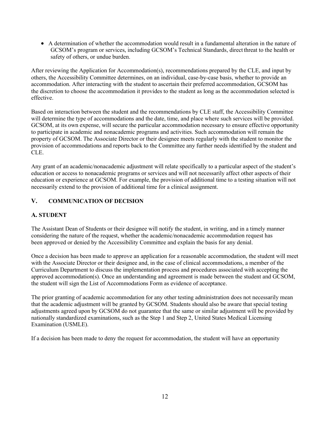• A determination of whether the accommodation would result in a fundamental alteration in the nature of GCSOM's program or services, including GCSOM's Technical Standards, direct threat to the health or safety of others, or undue burden.

After reviewing the Application for Accommodation(s), recommendations prepared by the CLE, and input by others, the Accessibility Committee determines, on an individual, case-by-case basis, whether to provide an accommodation. After interacting with the student to ascertain their preferred accommodation, GCSOM has the discretion to choose the accommodation it provides to the student as long as the accommodation selected is effective.

Based on interaction between the student and the recommendations by CLE staff, the Accessibility Committee will determine the type of accommodations and the date, time, and place where such services will be provided. GCSOM, at its own expense, will secure the particular accommodation necessary to ensure effective opportunity to participate in academic and nonacademic programs and activities. Such accommodation will remain the property of GCSOM. The Associate Director or their designee meets regularly with the student to monitor the provision of accommodations and reports back to the Committee any further needs identified by the student and CLE.

Any grant of an academic/nonacademic adjustment will relate specifically to a particular aspect of the student's education or access to nonacademic programs or services and will not necessarily affect other aspects of their education or experience at GCSOM. For example, the provision of additional time to a testing situation will not necessarily extend to the provision of additional time for a clinical assignment.

# <span id="page-11-0"></span>**V. COMMUNICATION OF DECISION**

# **A. STUDENT**

The Assistant Dean of Students or their designee will notify the student, in writing, and in a timely manner considering the nature of the request, whether the academic/nonacademic accommodation request has been approved or denied by the Accessibility Committee and explain the basis for any denial.

Once a decision has been made to approve an application for a reasonable accommodation, the student will meet with the Associate Director or their designee and, in the case of clinical accommodations, a member of the Curriculum Department to discuss the implementation process and procedures associated with accepting the approved accommodation(s). Once an understanding and agreement is made between the student and GCSOM, the student will sign the List of Accommodations Form as evidence of acceptance.

The prior granting of academic accommodation for any other testing administration does not necessarily mean that the academic adjustment will be granted by GCSOM. Students should also be aware that special testing adjustments agreed upon by GCSOM do not guarantee that the same or similar adjustment will be provided by nationally standardized examinations, such as the Step 1 and Step 2, United States Medical Licensing Examination (USMLE).

If a decision has been made to deny the request for accommodation, the student will have an opportunity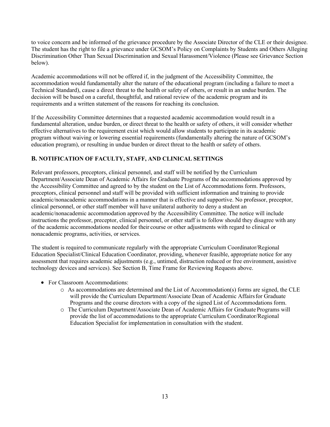to voice concern and be informed of the grievance procedure by the Associate Director of the CLE or their designee. The student has the right to file a grievance under GCSOM's Policy on Complaints by Students and Others Alleging Discrimination Other Than Sexual Discrimination and Sexual Harassment/Violence (Please see Grievance Section below).

Academic accommodations will not be offered if, in the judgment of the Accessibility Committee, the accommodation would fundamentally alter the nature of the educational program (including a failure to meet a Technical Standard), cause a direct threat to the health or safety of others, or result in an undue burden. The decision will be based on a careful, thoughtful, and rational review of the academic program and its requirements and a written statement of the reasons for reaching its conclusion.

If the Accessibility Committee determines that a requested academic accommodation would result in a fundamental alteration, undue burden, or direct threat to the health or safety of others, it will consider whether effective alternatives to the requirement exist which would allow students to participate in its academic program without waiving or lowering essential requirements (fundamentally altering the nature of GCSOM's education program), or resulting in undue burden or direct threat to the health or safety of others.

# <span id="page-12-0"></span>**B. NOTIFICATION OF FACULTY, STAFF, AND CLINICAL SETTINGS**

Relevant professors, preceptors, clinical personnel, and staff will be notified by the Curriculum Department/Associate Dean of Academic Affairs for Graduate Programs of the accommodations approved by the Accessibility Committee and agreed to by the student on the List of Accommodations form. Professors, preceptors, clinical personnel and staff will be provided with sufficient information and training to provide academic/nonacademic accommodations in a manner that is effective and supportive. No professor, preceptor, clinical personnel, or other staff member will have unilateral authority to deny a student an academic/nonacademic accommodation approved by the Accessibility Committee. The notice will include instructions the professor, preceptor, clinical personnel, or other staff is to follow should they disagree with any of the academic accommodations needed for their course or other adjustments with regard to clinical or nonacademic programs, activities, or services.

The student is required to communicate regularly with the appropriate Curriculum Coordinator/Regional Education Specialist/Clinical Education Coordinator, providing, whenever feasible, appropriate notice for any assessment that requires academic adjustments (e.g., untimed, distraction reduced or free environment, assistive technology devices and services). See Section B, Time Frame for Reviewing Requests above.

- For Classroom Accommodations:
	- $\circ$  As accommodations are determined and the List of Accommodation(s) forms are signed, the CLE will provide the Curriculum Department/Associate Dean of Academic Affairs for Graduate Programs and the course directors with a copy of the signed List of Accommodations form.
	- o The Curriculum Department/Associate Dean of Academic Affairs for Graduate Programs will provide the list of accommodations to the appropriate Curriculum Coordinator/Regional Education Specialist for implementation in consultation with the student.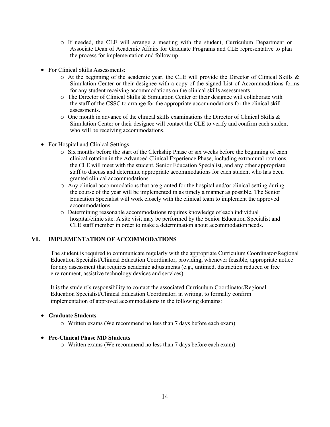- o If needed, the CLE will arrange a meeting with the student, Curriculum Department or Associate Dean of Academic Affairs for Graduate Programs and CLE representative to plan the process for implementation and follow up.
- For Clinical Skills Assessments:
	- o At the beginning of the academic year, the CLE will provide the Director of Clinical Skills & Simulation Center or their designee with a copy of the signed List of Accommodations forms for any student receiving accommodations on the clinical skills assessments.
	- o The Director of Clinical Skills & Simulation Center or their designee will collaborate with the staff of the CSSC to arrange for the appropriate accommodations for the clinical skill assessments.
	- $\circ$  One month in advance of the clinical skills examinations the Director of Clinical Skills & Simulation Center or their designee will contact the CLE to verify and confirm each student who will be receiving accommodations.
- For Hospital and Clinical Settings:
	- o Six months before the start of the Clerkship Phase or six weeks before the beginning of each clinical rotation in the Advanced Clinical Experience Phase, including extramural rotations, the CLE will meet with the student, Senior Education Specialist, and any other appropriate staff to discuss and determine appropriate accommodations for each student who has been granted clinical accommodations.
	- $\circ$  Any clinical accommodations that are granted for the hospital and/or clinical setting during the course of the year will be implemented in as timely a manner as possible. The Senior Education Specialist will work closely with the clinical team to implement the approved accommodations.
	- o Determining reasonable accommodations requires knowledge of each individual hospital/clinic site. A site visit may be performed by the Senior Education Specialist and CLE staff member in order to make a determination about accommodation needs.

## <span id="page-13-0"></span>**VI. IMPLEMENTATION OF ACCOMMODATIONS**

The student is required to communicate regularly with the appropriate Curriculum Coordinator/Regional Education Specialist/Clinical Education Coordinator, providing, whenever feasible, appropriate notice for any assessment that requires academic adjustments (e.g., untimed, distraction reduced or free environment, assistive technology devices and services).

It is the student's responsibility to contact the associated Curriculum Coordinator/Regional Education Specialist/Clinical Education Coordinator, in writing, to formally confirm implementation of approved accommodations in the following domains:

#### • **Graduate Students**

o Written exams (We recommend no less than 7 days before each exam)

## • **Pre-Clinical Phase MD Students**

o Written exams (We recommend no less than 7 days before each exam)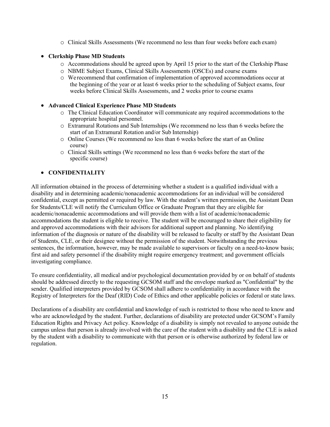o Clinical Skills Assessments (We recommend no less than four weeks before each exam)

# • **Clerkship Phase MD Students**

- o Accommodations should be agreed upon by April 15 prior to the start of the Clerkship Phase
- o NBME Subject Exams, Clinical Skills Assessments (OSCEs) and course exams
- o We recommend that confirmation of implementation of approved accommodations occur at the beginning of the year or at least 6 weeks prior to the scheduling of Subject exams, four weeks before Clinical Skills Assessments, and 2 weeks prior to course exams

# • **Advanced Clinical Experience Phase MD Students**

- o The Clinical Education Coordinator will communicate any required accommodations to the appropriate hospital personnel.
- o Extramural Rotations and Sub Internships (We recommend no less than 6 weeks before the start of an Extramural Rotation and/or Sub Internship)
- o Online Courses (We recommend no less than 6 weeks before the start of an Online course)
- o Clinical Skills settings (We recommend no less than 6 weeks before the start of the specific course)

# • **CONFIDENTIALITY**

All information obtained in the process of determining whether a student is a qualified individual with a disability and in determining academic/nonacademic accommodations for an individual will be considered confidential, except as permitted or required by law. With the student's written permission, the Assistant Dean for Students/CLE will notify the Curriculum Office or Graduate Program that they are eligible for academic/nonacademic accommodations and will provide them with a list of academic/nonacademic accommodations the student is eligible to receive. The student will be encouraged to share their eligibility for and approved accommodations with their advisors for additional support and planning. No identifying information of the diagnosis or nature of the disability will be released to faculty or staff by the Assistant Dean of Students, CLE, or their designee without the permission of the student. Notwithstanding the previous sentences, the information, however, may be made available to supervisors or faculty on a need-to-know basis; first aid and safety personnel if the disability might require emergency treatment; and government officials investigating compliance.

To ensure confidentiality, all medical and/or psychological documentation provided by or on behalf of students should be addressed directly to the requesting GCSOM staff and the envelope marked as "Confidential" by the sender. Qualified interpreters provided by GCSOM shall adhere to confidentiality in accordance with the Registry of Interpreters for the Deaf (RID) Code of Ethics and other applicable policies or federal or state laws.

Declarations of a disability are confidential and knowledge of such is restricted to those who need to know and who are acknowledged by the student. Further, declarations of disability are protected under GCSOM's Family Education Rights and Privacy Act policy. Knowledge of a disability is simply not revealed to anyone outside the campus unless that person is already involved with the care of the student with a disability and the CLE is asked by the student with a disability to communicate with that person or is otherwise authorized by federal law or regulation.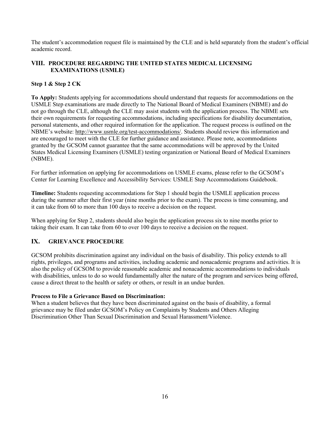The student's accommodation request file is maintained by the CLE and is held separately from the student's official academic record.

# <span id="page-15-0"></span>**VIII. PROCEDURE REGARDING THE UNITED STATES MEDICAL LICENSING EXAMINATIONS (USMLE)**

## **Step 1 & Step 2 CK**

**To Apply:** Students applying for accommodations should understand that requests for accommodations on the USMLE Step examinations are made directly to The National Board of Medical Examiners (NBME) and do not go through the CLE, although the CLE may assist students with the application process. The NBME sets their own requirements for requesting accommodations, including specifications for disability documentation, personal statements, and other required information for the application. The request process is outlined on the NBME's website: [http://www.usmle.org/test-accommodations/.](http://www.usmle.org/test-accommodations/) Students should review this information and are encouraged to meet with the CLE for further guidance and assistance. Please note, accommodations granted by the GCSOM cannot guarantee that the same accommodations will be approved by the United States Medical Licensing Examiners (USMLE) testing organization or National Board of Medical Examiners (NBME).

For further information on applying for accommodations on USMLE exams, please refer to the GCSOM's Center for Learning Excellence and Accessibility Services: USMLE Step Accommodations Guidebook.

**Timeline:** Students requesting accommodations for Step 1 should begin the USMLE application process during the summer after their first year (nine months prior to the exam). The process is time consuming, and it can take from 60 to more than 100 days to receive a decision on the request.

When applying for Step 2, students should also begin the application process six to nine months prior to taking their exam. It can take from 60 to over 100 days to receive a decision on the request.

# <span id="page-15-1"></span>**IX. GRIEVANCE PROCEDURE**

GCSOM prohibits discrimination against any individual on the basis of disability. This policy extends to all rights, privileges, and programs and activities, including academic and nonacademic programs and activities. It is also the policy of GCSOM to provide reasonable academic and nonacademic accommodations to individuals with disabilities, unless to do so would fundamentally alter the nature of the program and services being offered, cause a direct threat to the health or safety or others, or result in an undue burden.

## **Process to File a Grievance Based on Discrimination:**

When a student believes that they have been discriminated against on the basis of disability, a formal grievance may be filed under GCSOM's Policy on Complaints by Students and Others Alleging Discrimination Other Than Sexual Discrimination and Sexual Harassment/Violence.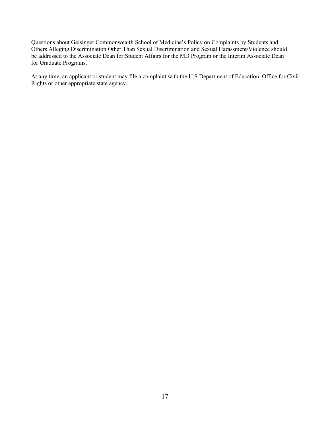Questions about Geisinger Commonwealth School of Medicine's Policy on Complaints by Students and Others Alleging Discrimination Other Than Sexual Discrimination and Sexual Harassment/Violence should be addressed to the Associate Dean for Student Affairs for the MD Program or the Interim Associate Dean for Graduate Programs.

At any time, an applicant or student may file a complaint with the U.S Department of Education, Office for Civil Rights or other appropriate state agency.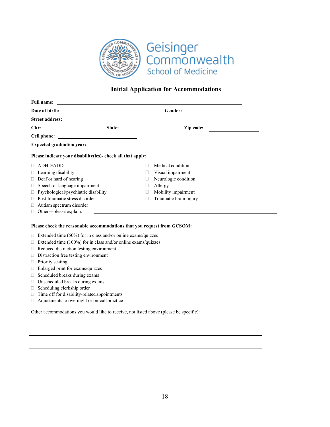

# **Initial Application for Accommodations**

| <b>Full name:</b>                                                                                                                                                                                                              |              |                        |  |
|--------------------------------------------------------------------------------------------------------------------------------------------------------------------------------------------------------------------------------|--------------|------------------------|--|
| Date of birth: Note that the set of the set of the set of the set of the set of the set of the set of the set of the set of the set of the set of the set of the set of the set of the set of the set of the set of the set of |              |                        |  |
| <b>Street address:</b>                                                                                                                                                                                                         |              |                        |  |
| City:                                                                                                                                                                                                                          | State:       | Zip code:              |  |
|                                                                                                                                                                                                                                |              |                        |  |
| <b>Expected graduation year:</b>                                                                                                                                                                                               |              |                        |  |
| Please indicate your disability (ies)- check all that apply:                                                                                                                                                                   |              |                        |  |
| <b>ADHD/ADD</b>                                                                                                                                                                                                                |              | Medical condition      |  |
| Learning disability                                                                                                                                                                                                            |              | Visual impairment      |  |
| Deaf or hard of hearing                                                                                                                                                                                                        | П            | Neurologic condition   |  |
| Speech or language impairment<br>Ш                                                                                                                                                                                             | $\mathbf{L}$ | Allergy                |  |
| Psychological/psychiatric disability<br>□                                                                                                                                                                                      | $\mathbf{L}$ | Mobility impairment    |  |
| Post-traumatic stress disorder                                                                                                                                                                                                 | $\mathbf{L}$ | Traumatic brain injury |  |
| Autism spectrum disorder                                                                                                                                                                                                       |              |                        |  |
| Other-please explain:                                                                                                                                                                                                          |              |                        |  |
| Please check the reasonable accommodations that you request from GCSOM:                                                                                                                                                        |              |                        |  |
| Extended time (50%) for in class and/or online exams/quizzes<br>O                                                                                                                                                              |              |                        |  |
| Extended time (100%) for in class and/or online exams/quizzes                                                                                                                                                                  |              |                        |  |
| Reduced distraction testing environment<br>O                                                                                                                                                                                   |              |                        |  |
| Distraction free testing environment<br>u                                                                                                                                                                                      |              |                        |  |
| Priority seating<br>O.                                                                                                                                                                                                         |              |                        |  |
| Enlarged print for exams/quizzes                                                                                                                                                                                               |              |                        |  |
| Calcadulad hussles duning sysms<br>$\Box$                                                                                                                                                                                      |              |                        |  |

- $\Box$  Scheduled breaks during exams
- Unscheduled breaks during exams
- Scheduling clerkship order
- $\Box$  Time off for disability-related appointments
- Adjustments to overnight or on-call practice

Other accommodations you would like to receive, not listed above (please be specific):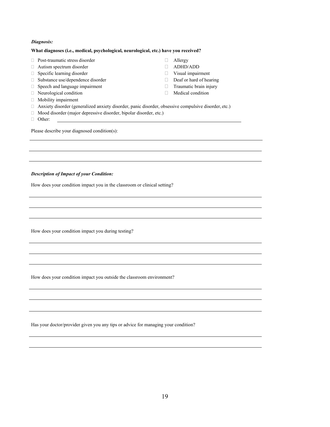#### *Diagnosis:*

#### **What diagnoses (i.e., medical, psychological, neurological, etc.) have you received?**

- □ Post-traumatic stress disorder □ Allergy
- □ Autism spectrum disorder <br>
 ADHD/ADD
- □ Specific learning disorder <br>□ Visual impairment
- $\Box$  Substance use/dependence disorder  $\Box$  Deaf or hard of hearing
- □ Speech and language impairment Traumatic brain injury
- $\Box$  Neurological condition  $\Box$  Medical condition
- Mobility impairment
- Anxiety disorder (generalized anxiety disorder, panic disorder, obsessive compulsive disorder, etc.)
- Mood disorder (major depressive disorder, bipolar disorder, etc.)
- Other:

Please describe your diagnosed condition(s):

#### *Description of Impact of your Condition:*

How does your condition impact you in the classroom or clinical setting?

How does your condition impact you during testing?

How does your condition impact you outside the classroom environment?

Has your doctor/provider given you any tips or advice for managing your condition?

- 
- 
- 
- 
- 
-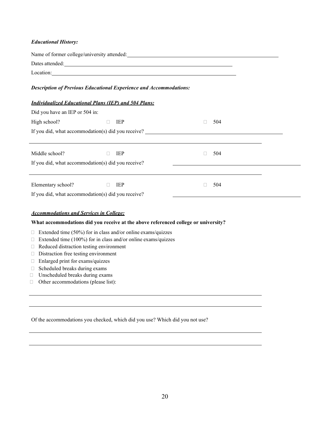## *Educational History:*

| Dates attended: <u>example and a series of the series of the series of the series of the series of the series of the series of the series of the series of the series of the series of the series of the series of the series of</u> |               |        |     |  |
|--------------------------------------------------------------------------------------------------------------------------------------------------------------------------------------------------------------------------------------|---------------|--------|-----|--|
| Location:                                                                                                                                                                                                                            |               |        |     |  |
| <b>Description of Previous Educational Experience and Accommodations:</b>                                                                                                                                                            |               |        |     |  |
| <b>Individualized Educational Plans (IEP) and 504 Plans:</b>                                                                                                                                                                         |               |        |     |  |
| Did you have an IEP or 504 in:                                                                                                                                                                                                       |               |        |     |  |
| High school?                                                                                                                                                                                                                         | IEP<br>$\Box$ | П      | 504 |  |
|                                                                                                                                                                                                                                      |               |        |     |  |
|                                                                                                                                                                                                                                      |               |        |     |  |
| Middle school?                                                                                                                                                                                                                       | IEP           | $\Box$ | 504 |  |
| If you did, what accommodation(s) did you receive?                                                                                                                                                                                   |               |        |     |  |
|                                                                                                                                                                                                                                      |               |        |     |  |
| Elementary school?                                                                                                                                                                                                                   | IEP<br>$\Box$ | $\Box$ | 504 |  |
| If you did, what accommodation(s) did you receive?                                                                                                                                                                                   |               |        |     |  |
|                                                                                                                                                                                                                                      |               |        |     |  |
| <b>Accommodations and Services in College:</b>                                                                                                                                                                                       |               |        |     |  |
| What accommodations did you receive at the above referenced college or university?                                                                                                                                                   |               |        |     |  |
| Extended time (50%) for in class and/or online exams/quizzes                                                                                                                                                                         |               |        |     |  |
|                                                                                                                                                                                                                                      |               |        |     |  |

- □ Extended time (100%) for in class and/or online exams/quizzes
- Reduced distraction testing environment
- Distraction free testing environment
- Enlarged print for exams/quizzes
- $\Box$  Scheduled breaks during exams
- Unscheduled breaks during exams
- Other accommodations (please list):

Of the accommodations you checked, which did you use? Which did you not use?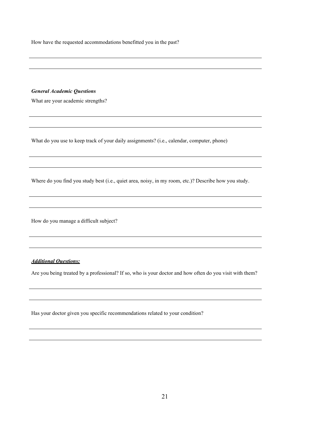How have the requested accommodations benefitted you in the past?

#### *General Academic Questions*

What are your academic strengths?

What do you use to keep track of your daily assignments? (i.e., calendar, computer, phone)

Where do you find you study best (i.e., quiet area, noisy, in my room, etc.)? Describe how you study.

How do you manage a difficult subject?

#### *Additional Questions:*

Are you being treated by a professional? If so, who is your doctor and how often do you visit with them?

Has your doctor given you specific recommendations related to your condition?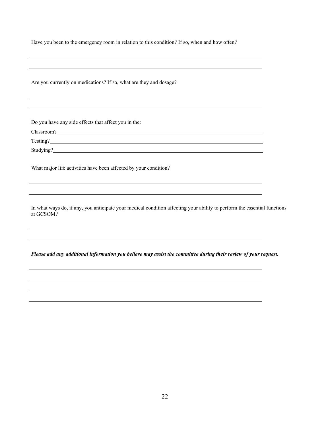Have you been to the emergency room in relation to this condition? If so, when and how often?

Are you currently on medications? If so, what are they and dosage?

Do you have any side effects that affect you in the:

Classroom? **Classroom**?

Testing?

Studying?

What major life activities have been affected by your condition?

In what ways do, if any, you anticipate your medical condition affecting your ability to perform the essential functions at GCSOM?

*Please add any additional information you believe may assist the committee during their review of your request.*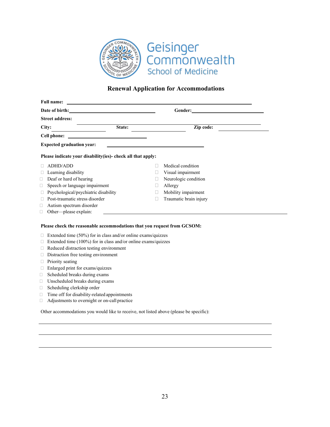

# **Renewal Application for Accommodations**

| <b>Full name:</b>                    | <u> 1989 - Johann Barbara, martin amerikan basal dan berasal dan berasal dalam basal dan berasal dan berasal dan</u>                                                                                                                 |   |                                                                                                                                                                                                                               |  |
|--------------------------------------|--------------------------------------------------------------------------------------------------------------------------------------------------------------------------------------------------------------------------------------|---|-------------------------------------------------------------------------------------------------------------------------------------------------------------------------------------------------------------------------------|--|
|                                      | Date of birth: <u>contract and the set of the set of the set of the set of the set of the set of the set of the set of the set of the set of the set of the set of the set of the set of the set of the set of the set of the se</u> |   |                                                                                                                                                                                                                               |  |
| <b>Street address:</b>               |                                                                                                                                                                                                                                      |   |                                                                                                                                                                                                                               |  |
| City:                                | State:                                                                                                                                                                                                                               |   | Zip code:                                                                                                                                                                                                                     |  |
| Cell phone:                          |                                                                                                                                                                                                                                      |   |                                                                                                                                                                                                                               |  |
| <b>Expected graduation year:</b>     |                                                                                                                                                                                                                                      |   | the control of the control of the control of the control of the control of the control of the control of the control of the control of the control of the control of the control of the control of the control of the control |  |
|                                      | Please indicate your disability (ies)- check all that apply:                                                                                                                                                                         |   |                                                                                                                                                                                                                               |  |
| <b>ADHD/ADD</b>                      |                                                                                                                                                                                                                                      |   | Medical condition                                                                                                                                                                                                             |  |
| Learning disability                  |                                                                                                                                                                                                                                      | Ш | Visual impairment                                                                                                                                                                                                             |  |
| Deaf or hard of hearing<br>Ш         |                                                                                                                                                                                                                                      |   | Neurologic condition                                                                                                                                                                                                          |  |
| Speech or language impairment<br>□   |                                                                                                                                                                                                                                      |   | Allergy                                                                                                                                                                                                                       |  |
| Psychological/psychiatric disability |                                                                                                                                                                                                                                      | Ш | Mobility impairment                                                                                                                                                                                                           |  |
| Post-traumatic stress disorder       |                                                                                                                                                                                                                                      |   | Traumatic brain injury                                                                                                                                                                                                        |  |
| Autism spectrum disorder             |                                                                                                                                                                                                                                      |   |                                                                                                                                                                                                                               |  |
| Other—please explain:<br>$\Box$      |                                                                                                                                                                                                                                      |   |                                                                                                                                                                                                                               |  |
|                                      | Please check the reasonable accommodations that you request from GCSOM:                                                                                                                                                              |   |                                                                                                                                                                                                                               |  |
|                                      | Extended time $(50\%)$ for in class and/or online exams/quizzes<br>Extended time (100%) for in class and/or online exams/quizzes                                                                                                     |   |                                                                                                                                                                                                                               |  |

- Reduced distraction testing environment
- Distraction free testing environment
- **Priority seating**
- Enlarged print for exams/quizzes
- $\Box$  Scheduled breaks during exams
- Unscheduled breaks during exams
- □ Scheduling clerkship order
- $\Box$  Time off for disability-related appointments
- Adjustments to overnight or on-call practice

Other accommodations you would like to receive, not listed above (please be specific):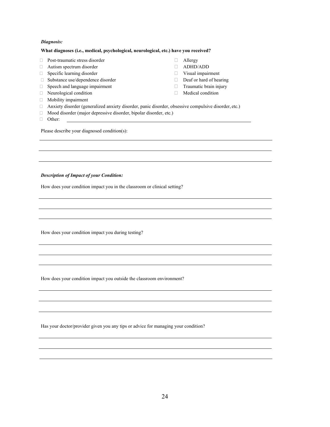#### *Diagnosis:*

#### **What diagnoses (i.e., medical, psychological, neurological, etc.) have you received?**

- $\Box$  Post-traumatic stress disorder  $\Box$  Allergy
- □ Autism spectrum disorder <br>
△ ADHD/ADD
- □ Specific learning disorder **Visual impairment**
- $\Box$  Substance use/dependence disorder  $\Box$  Deaf or hard of hearing
- $\Box$  Speech and language impairment  $\Box$  Traumatic brain injury
- 
- Mobility impairment
- 
- 
- 
- 
- 
- $\Box$  Neurological condition  $\Box$  Medical condition
- Anxiety disorder (generalized anxiety disorder, panic disorder, obsessive compulsive disorder, etc.)
- Mood disorder (major depressive disorder, bipolar disorder, etc.)
- Other:

Please describe your diagnosed condition(s):

#### *Description of Impact of your Condition:*

How does your condition impact you in the classroom or clinical setting?

How does your condition impact you during testing?

How does your condition impact you outside the classroom environment?

Has your doctor/provider given you any tips or advice for managing your condition?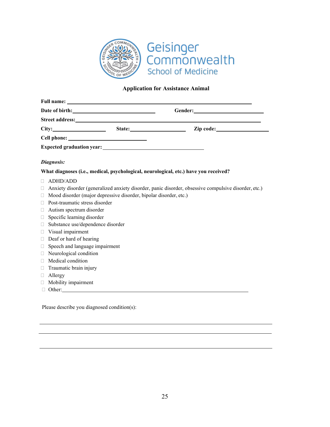

# **Application for Assistance Animal**

<span id="page-24-0"></span>

|                                          | Date of birth:                                                                                                                                                                                                                 |                                                                                                      |
|------------------------------------------|--------------------------------------------------------------------------------------------------------------------------------------------------------------------------------------------------------------------------------|------------------------------------------------------------------------------------------------------|
|                                          | Street address: No. 2016. The Street and Street and Street and Street and Street and Street and Street and Street and Street and Street and Street and Street and Street and Street and Street and Street and Street and Stree |                                                                                                      |
|                                          |                                                                                                                                                                                                                                |                                                                                                      |
|                                          |                                                                                                                                                                                                                                |                                                                                                      |
|                                          |                                                                                                                                                                                                                                |                                                                                                      |
| Diagnosis:                               |                                                                                                                                                                                                                                |                                                                                                      |
|                                          |                                                                                                                                                                                                                                | What diagnoses (i.e., medical, psychological, neurological, etc.) have you received?                 |
| <b>ADHD/ADD</b><br>П                     |                                                                                                                                                                                                                                |                                                                                                      |
| ⊔                                        |                                                                                                                                                                                                                                | Anxiety disorder (generalized anxiety disorder, panic disorder, obsessive compulsive disorder, etc.) |
| □                                        | Mood disorder (major depressive disorder, bipolar disorder, etc.)                                                                                                                                                              |                                                                                                      |
| Post-traumatic stress disorder<br>⊔      |                                                                                                                                                                                                                                |                                                                                                      |
| Autism spectrum disorder<br>$\Box$       |                                                                                                                                                                                                                                |                                                                                                      |
| Specific learning disorder<br>$\Box$     |                                                                                                                                                                                                                                |                                                                                                      |
| Substance use/dependence disorder<br>□   |                                                                                                                                                                                                                                |                                                                                                      |
| Visual impairment<br>□                   |                                                                                                                                                                                                                                |                                                                                                      |
| Deaf or hard of hearing<br>$\Box$        |                                                                                                                                                                                                                                |                                                                                                      |
| Speech and language impairment<br>$\Box$ |                                                                                                                                                                                                                                |                                                                                                      |
| Neurological condition<br>$\Box$         |                                                                                                                                                                                                                                |                                                                                                      |
| Medical condition<br>$\Box$              |                                                                                                                                                                                                                                |                                                                                                      |
| Traumatic brain injury<br>$\Box$         |                                                                                                                                                                                                                                |                                                                                                      |
| Allergy<br>$\Box$                        |                                                                                                                                                                                                                                |                                                                                                      |
| Mobility impairment<br>□                 |                                                                                                                                                                                                                                |                                                                                                      |
| $\Box$                                   | Other: Contact Contact Contact Contact Contact Contact Contact Contact Contact Contact Contact Contact Contact Contact Contact Contact Contact Contact Contact Contact Contact Contact Contact Contact Contact Contact Contact |                                                                                                      |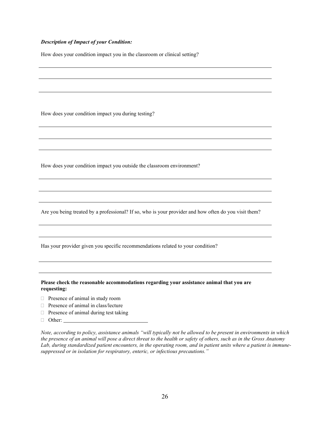#### *Description of Impact of your Condition:*

How does your condition impact you in the classroom or clinical setting?

How does your condition impact you during testing?

How does your condition impact you outside the classroom environment?

Are you being treated by a professional? If so, who is your provider and how often do you visit them?

Has your provider given you specific recommendations related to your condition?

**Please check the reasonable accommodations regarding your assistance animal that you are requesting:**

- Presence of animal in study room
- $\Box$  Presence of animal in class/lecture
- $\Box$  Presence of animal during test taking
- □ Other:

*Note, according to policy, assistance animals "will typically not be allowed to be present in environments in which the presence of an animal will pose a direct threat to the health or safety of others, such as in the Gross Anatomy Lab, during standardized patient encounters, in the operating room, and in patient units where a patient is immunesuppressed or in isolation for respiratory, enteric, or infectious precautions."*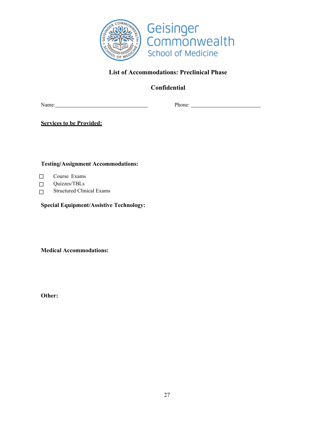

# **List of Accommodations: Preclinical Phase**

**Confidential**

Name: Phone: Phone: Phone: Phone: Phone: Phone: Phone: Phone: Phone: Phone: Phone: Phone: Phone: Phone: Phone: Phone: Phone: Phone: Phone: Phone: Phone: Phone: Phone: Phone: Phone: Phone: Phone: Phone: Phone: Phone: Phone:

**Services to be Provided:**

**Testing/Assignment Accommodations:**

- ☐ Course Exams
- $\Box$ Quizzes/TBLs
- ☐ Structured Clinical Exams

**Special Equipment/Assistive Technology:**

**Medical Accommodations:**

**Other:**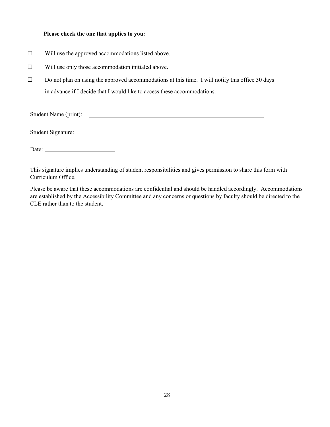#### **Please check the one that applies to you:**

- ☐ Will use the approved accommodations listed above.
- $\Box$  Will use only those accommodation initialed above.
- ☐ Do not plan on using the approved accommodations at this time. I will notify this office 30 days in advance if I decide that I would like to access these accommodations.

| Student Name (print): |  |  |
|-----------------------|--|--|
|                       |  |  |

Student Signature:

Date:

This signature implies understanding of student responsibilities and gives permission to share this form with Curriculum Office.

Please be aware that these accommodations are confidential and should be handled accordingly. Accommodations are established by the Accessibility Committee and any concerns or questions by faculty should be directed to the CLE rather than to the student.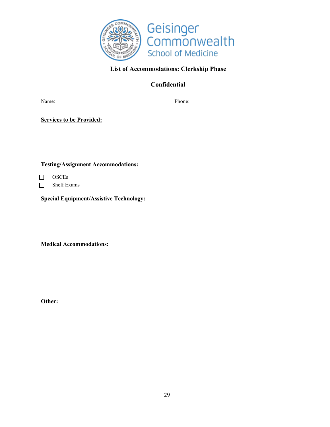

# **List of Accommodations: Clerkship Phase**

**Confidential**

Name: Phone: Phone: Phone: Phone: Phone: Phone: Phone: Phone: Phone: Phone: Phone: Phone: Phone: Phone: Phone: Phone: Phone: Phone: Phone: Phone: Phone: Phone: Phone: Phone: Phone: Phone: Phone: Phone: Phone: Phone: Phone:

**Services to be Provided:**

**Testing/Assignment Accommodations:**

☐ ☐ OSCEs Shelf Exams

**Special Equipment/Assistive Technology:**

**Medical Accommodations:**

**Other:**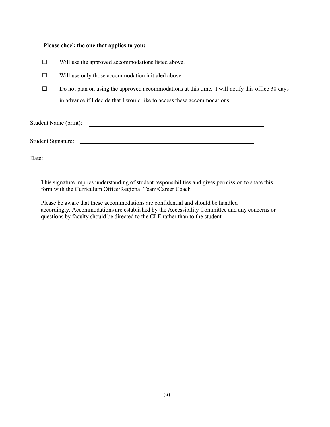#### **Please check the one that applies to you:**

- ☐ Will use the approved accommodations listed above.
- ☐ Will use only those accommodation initialed above.
- $\Box$  Do not plan on using the approved accommodations at this time. I will notify this office 30 days in advance if I decide that I would like to access these accommodations.

Student Name (print):

Student Signature:

Date:

This signature implies understanding of student responsibilities and gives permission to share this form with the Curriculum Office/Regional Team/Career Coach

Please be aware that these accommodations are confidential and should be handled accordingly. Accommodations are established by the Accessibility Committee and any concerns or questions by faculty should be directed to the CLE rather than to the student.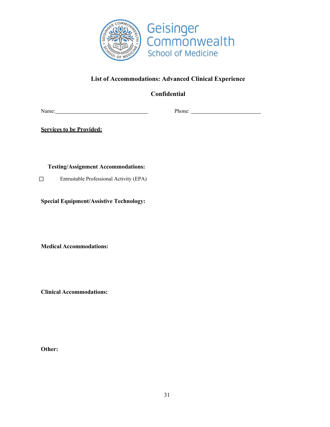

# **List of Accommodations: Advanced Clinical Experience**

**Confidential**

Name: Phone: Phone: Phone: Phone: Phone: Phone: Phone: Phone: Phone: Phone: Phone: Phone: Phone: Phone: Phone: Phone: Phone: Phone: Phone: Phone: Phone: Phone: Phone: Phone: Phone: Phone: Phone: Phone: Phone: Phone: Phone:

**Services to be Provided:**

**Testing/Assignment Accommodations:**

☐ Entrustable Professional Activity (EPA)

**Special Equipment/Assistive Technology:**

**Medical Accommodations:**

**Clinical Accommodations:** 

**Other:**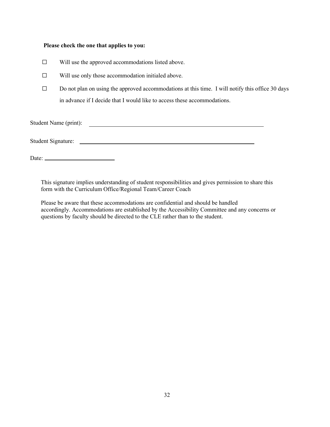#### **Please check the one that applies to you:**

- ☐ Will use the approved accommodations listed above.
- ☐ Will use only those accommodation initialed above.
- $\Box$  Do not plan on using the approved accommodations at this time. I will notify this office 30 days in advance if I decide that I would like to access these accommodations.

Student Name (print):

Student Signature:

Date:

This signature implies understanding of student responsibilities and gives permission to share this form with the Curriculum Office/Regional Team/Career Coach

Please be aware that these accommodations are confidential and should be handled accordingly. Accommodations are established by the Accessibility Committee and any concerns or questions by faculty should be directed to the CLE rather than to the student.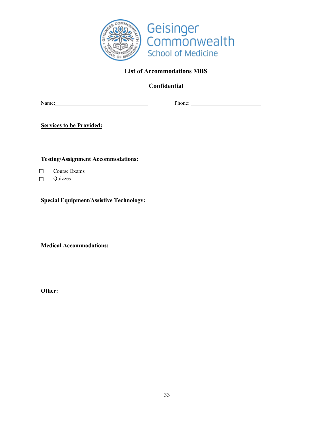

# **List of Accommodations MBS**

**Confidential**

Name: Name: Phone: Phone: Phone: Phone: Phone: Phone: Phone: Phone: Phone: Phone: Phone: Phone: Phone: Phone: Phone: Phone: Phone: Phone: Phone: Phone: Phone: Phone: Phone: Phone: Phone: Phone: Phone: Phone: Phone: Phone:

**Services to be Provided:**

**Testing/Assignment Accommodations:**

☐ Course Exams

 $\Box$ Quizzes

**Special Equipment/Assistive Technology:**

**Medical Accommodations:**

**Other:**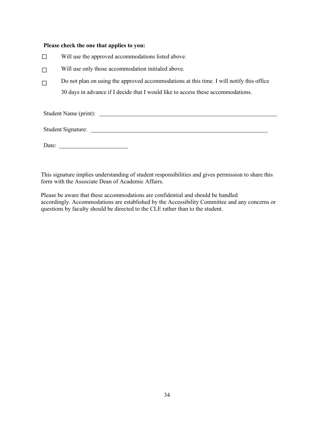#### **Please check the one that applies to you:**

- ☐ Will use the approved accommodations listed above.
- $\Box$ Will use only those accommodation initialed above.
- $\Box$ Do not plan on using the approved accommodations at this time. I will notify this office 30 days in advance if I decide that I would like to access these accommodations.

Student Name (print):

Student Signature:

Date:

This signature implies understanding of student responsibilities and gives permission to share this form with the Associate Dean of Academic Affairs.

Please be aware that these accommodations are confidential and should be handled accordingly. Accommodations are established by the Accessibility Committee and any concerns or questions by faculty should be directed to the CLE rather than to the student.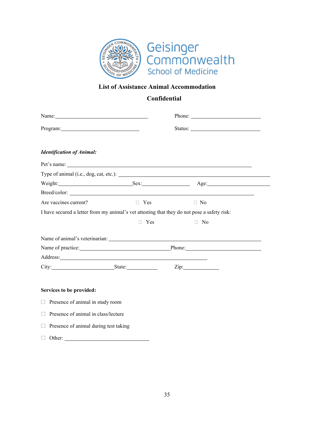

# **List of Assistance Animal Accommodation**

# **Confidential**

 $\overline{\phantom{0}}$ 

|                                                                                                                                                                                                                                |            | Phone: $\frac{1}{\sqrt{1-\frac{1}{2}}\sqrt{1-\frac{1}{2}}\sqrt{1-\frac{1}{2}}\sqrt{1-\frac{1}{2}}\sqrt{1-\frac{1}{2}}\sqrt{1-\frac{1}{2}}\sqrt{1-\frac{1}{2}}\sqrt{1-\frac{1}{2}}\sqrt{1-\frac{1}{2}}\sqrt{1-\frac{1}{2}}\sqrt{1-\frac{1}{2}}\sqrt{1-\frac{1}{2}}\sqrt{1-\frac{1}{2}}\sqrt{1-\frac{1}{2}}\sqrt{1-\frac{1}{2}}\sqrt{1-\frac{1}{2}}\sqrt{1-\frac{1}{2}}\sqrt{1-\frac{1}{2}}\sqrt{1-\frac{1}{2$ |  |
|--------------------------------------------------------------------------------------------------------------------------------------------------------------------------------------------------------------------------------|------------|--------------------------------------------------------------------------------------------------------------------------------------------------------------------------------------------------------------------------------------------------------------------------------------------------------------------------------------------------------------------------------------------------------------|--|
| Program: 2008 and 2008 and 2008 and 2008 and 2008 and 2008 and 2008 and 2008 and 2008 and 2008 and 2008 and 20                                                                                                                 |            |                                                                                                                                                                                                                                                                                                                                                                                                              |  |
| <b>Identification of Animal:</b>                                                                                                                                                                                               |            |                                                                                                                                                                                                                                                                                                                                                                                                              |  |
|                                                                                                                                                                                                                                |            |                                                                                                                                                                                                                                                                                                                                                                                                              |  |
|                                                                                                                                                                                                                                |            |                                                                                                                                                                                                                                                                                                                                                                                                              |  |
|                                                                                                                                                                                                                                |            | Weight: Sex: Sex: Age:                                                                                                                                                                                                                                                                                                                                                                                       |  |
| Breed/color:                                                                                                                                                                                                                   |            |                                                                                                                                                                                                                                                                                                                                                                                                              |  |
| Are vaccines current?                                                                                                                                                                                                          | $\Box$ Yes | $\Box$ No                                                                                                                                                                                                                                                                                                                                                                                                    |  |
|                                                                                                                                                                                                                                |            | I have secured a letter from my animal's vet attesting that they do not pose a safety risk:                                                                                                                                                                                                                                                                                                                  |  |
|                                                                                                                                                                                                                                | $\Box$ Yes | $\Box$ No                                                                                                                                                                                                                                                                                                                                                                                                    |  |
|                                                                                                                                                                                                                                |            |                                                                                                                                                                                                                                                                                                                                                                                                              |  |
|                                                                                                                                                                                                                                |            |                                                                                                                                                                                                                                                                                                                                                                                                              |  |
|                                                                                                                                                                                                                                |            | Name of practice: Phone: Phone:                                                                                                                                                                                                                                                                                                                                                                              |  |
| Address: No. 2014 19:30 and 2014 19:30 and 2014 19:30 and 2014 19:30 and 2014 19:30 and 2014 19:30 and 2014 19:30 and 2014 19:30 and 2014 19:30 and 2014 19:30 and 2014 19:30 and 2014 19:30 and 2014 19:30 and 2014 19:30 and |            |                                                                                                                                                                                                                                                                                                                                                                                                              |  |
| City: State: State: Zip:                                                                                                                                                                                                       |            |                                                                                                                                                                                                                                                                                                                                                                                                              |  |
|                                                                                                                                                                                                                                |            |                                                                                                                                                                                                                                                                                                                                                                                                              |  |
| Services to be provided:                                                                                                                                                                                                       |            |                                                                                                                                                                                                                                                                                                                                                                                                              |  |
| $\Box$ Presence of animal in study room                                                                                                                                                                                        |            |                                                                                                                                                                                                                                                                                                                                                                                                              |  |
| Presence of animal in class/lecture                                                                                                                                                                                            |            |                                                                                                                                                                                                                                                                                                                                                                                                              |  |
| Presence of animal during test taking                                                                                                                                                                                          |            |                                                                                                                                                                                                                                                                                                                                                                                                              |  |
| $\Box$ Other:                                                                                                                                                                                                                  |            |                                                                                                                                                                                                                                                                                                                                                                                                              |  |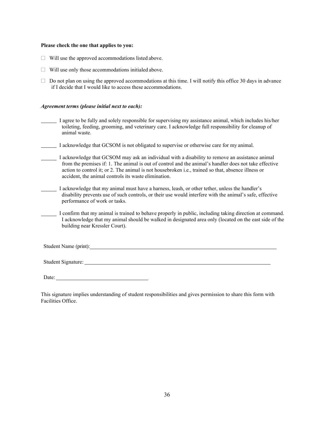#### **Please check the one that applies to you:**

- $\Box$  Will use the approved accommodations listed above.
- $\Box$  Will use only those accommodations initialed above.
- $\Box$  Do not plan on using the approved accommodations at this time. I will notify this office 30 days in advance if I decide that I would like to access these accommodations.

#### *Agreement terms (please initial next to each):*

- I agree to be fully and solely responsible for supervising my assistance animal, which includes his/her toileting, feeding, grooming, and veterinary care. I acknowledge full responsibility for cleanup of animal waste.
- I acknowledge that GCSOM is not obligated to supervise or otherwise care for my animal.
	- I acknowledge that GCSOM may ask an individual with a disability to remove an assistance animal from the premises if: 1. The animal is out of control and the animal's handler does not take effective action to control it; or 2. The animal is not housebroken i.e., trained so that, absence illness or accident, the animal controls its waste elimination.
	- I acknowledge that my animal must have a harness, leash, or other tether, unless the handler's disability prevents use of such controls, or their use would interfere with the animal's safe, effective performance of work or tasks.
- I confirm that my animal is trained to behave properly in public, including taking direction at command. I acknowledge that my animal should be walked in designated area only (located on the east side of the building near Kressler Court).

Student Name (print):

Student Signature:

Date:

This signature implies understanding of student responsibilities and gives permission to share this form with Facilities Office.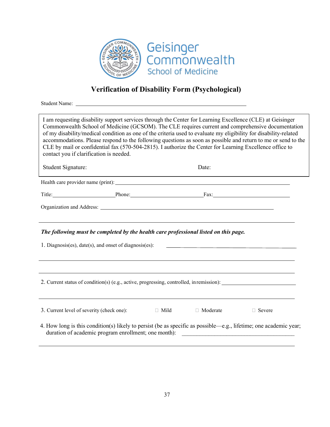

# **Verification of Disability Form (Psychological)**

Student Name:

Health care provider name (print): Title: Phone: Fax: Organization and Address: *The following must be completed by the health care professional listed on this page.* 1. Diagnosis(es), date(s), and onset of diagnosis(es): 2. Current status of condition(s) (e.g., active, progressing, controlled, inremission): 3. Current level of severity (check one):  $\Box$  Mild  $\Box$  Moderate  $\Box$  Severe Student Signature: Date: I am requesting disability support services through the Center for Learning Excellence (CLE) at Geisinger Commonwealth School of Medicine (GCSOM). The CLE requires current and comprehensive documentation of my disability/medical condition as one of the criteria used to evaluate my eligibility for disability-related accommodations. Please respond to the following questions as soon as possible and return to me or send to the CLE by mail or confidential fax (570-504-2815). I authorize the Center for Learning Excellence office to contact you if clarification is needed.

4. How long is this condition(s) likely to persist (be as specific as possible—e.g., lifetime; one academic year; duration of academic program enrollment; one month):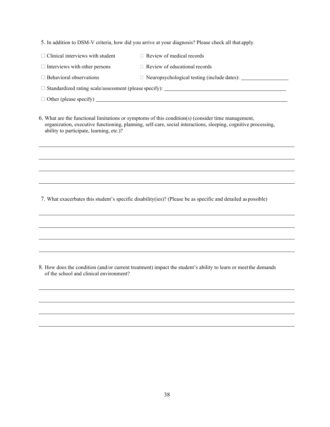5. In addition to DSM-V criteria, how did you arrive at your diagnosis? Please check all that apply.

- $\Box$  Clinical interviews with student  $\Box$  Review of medical records
- $\Box$  Interviews with other persons  $\Box$  Review of educational records
- $\Box$  Behavioral observations  $\Box$  Neuropsychological testing (include dates):

Standardized rating scale/assessment (please specify):

 $\Box$  Other (please specify)  $\Box$ 

6. What are the functional limitations or symptoms of this condition(s) (consider time management, organization, executive functioning, planning, self-care, social interactions, sleeping, cognitive processing, ability to participate, learning, etc.)?

7. What exacerbates this student's specific disability(ies)? (Please be as specific and detailed as possible)

8. How does the condition (and/or current treatment) impact the student's ability to learn or meetthe demands of the school and clinical environment?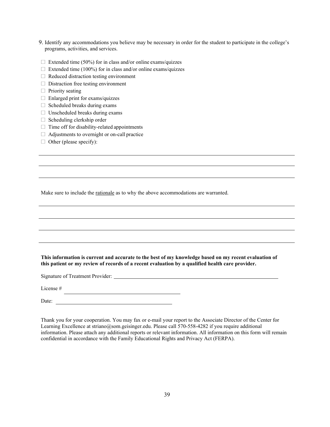- 9. Identify any accommodations you believe may be necessary in order for the student to participate in the college's programs, activities, and services.
- $\Box$  Extended time (50%) for in class and/or online exams/quizzes
- $\Box$  Extended time (100%) for in class and/or online exams/quizzes
- $\Box$  Reduced distraction testing environment
- $\Box$  Distraction free testing environment
- $\Box$  Priority seating
- Enlarged print for exams/quizzes
- $\Box$  Scheduled breaks during exams
- $\Box$  Unscheduled breaks during exams
- $\Box$  Scheduling clerkship order
- $\Box$  Time off for disability-related appointments
- $\Box$  Adjustments to overnight or on-call practice
- $\Box$  Other (please specify):

Make sure to include the rationale as to why the above accommodations are warranted.

**This information is current and accurate to the best of my knowledge based on my recent evaluation of this patient or my review of records of a recent evaluation by a qualified health care provider.**

Signature of Treatment Provider:

License #

Date:

Thank you for your cooperation. You may fax or e-mail your report to the Associate Director of the Center for Learning Excellence a[t striano@som.geisinger.edu. P](mailto:striano@som.geisinger.edu)lease call 570-558-4282 if you require additional information. Please attach any additional reports or relevant information. All information on this form will remain confidential in accordance with the Family Educational Rights and Privacy Act (FERPA).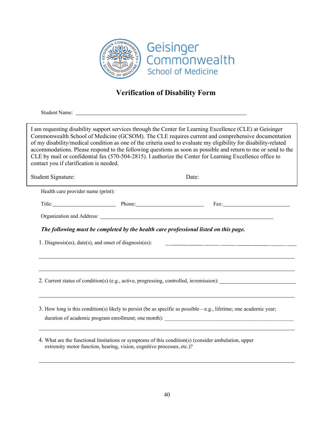

# **Verification of Disability Form**

Student Name:

I am requesting disability support services through the Center for Learning Excellence (CLE) at Geisinger Commonwealth School of Medicine (GCSOM). The CLE requires current and comprehensive documentation of my disability/medical condition as one of the criteria used to evaluate my eligibility for disability-related accommodations. Please respond to the following questions as soon as possible and return to me or send to the CLE by mail or confidential fax (570-504-2815). I authorize the Center for Learning Excellence office to contact you if clarification is needed.

Student Signature: Date:

| Health care provider name (print): |                                                                                      |                                                                                                                   |
|------------------------------------|--------------------------------------------------------------------------------------|-------------------------------------------------------------------------------------------------------------------|
|                                    | Title: Phone: Phone:                                                                 | Fax:                                                                                                              |
|                                    |                                                                                      |                                                                                                                   |
|                                    | The following must be completed by the health care professional listed on this page. |                                                                                                                   |
|                                    |                                                                                      | 1. Diagnosis(es), date(s), and onset of diagnosis(es): __________________________                                 |
|                                    |                                                                                      |                                                                                                                   |
|                                    |                                                                                      |                                                                                                                   |
|                                    |                                                                                      |                                                                                                                   |
|                                    |                                                                                      | ,我们也不会有什么。""我们的人,我们也不会有什么?""我们的人,我们也不会有什么?""我们的人,我们也不会有什么?""我们的人,我们也不会有什么?""我们的人                                  |
|                                    |                                                                                      | 2. Current status of condition(s) (e.g., active, progressing, controlled, in remission):                          |
|                                    |                                                                                      |                                                                                                                   |
|                                    |                                                                                      |                                                                                                                   |
|                                    |                                                                                      | 3. How long is this condition(s) likely to persist (be as specific as possible—e.g., lifetime; one academic year; |

4. What are the functional limitations or symptoms of this condition(s) (consider ambulation, upper extremity motor function, hearing, vision, cognitive processes, etc.)?